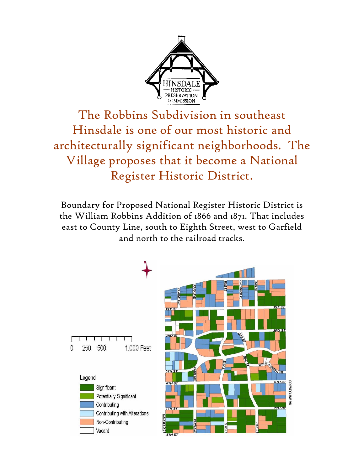

**The Robbins Subdivision** in southeast Hinsdale is one of our most historic and architecturally significant neighborhoods. The Village proposes that it become a National Register Historic District.

Boundary for Proposed National Register Historic District is the William Robbins Addition of 1866 and 1871. That includes east to County Line, south to Eighth Street, west to Garfield and north to the railroad tracks.

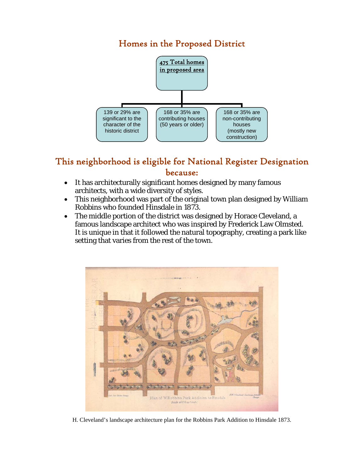### Homes in the Proposed District



### This neighborhood is eligible for National Register Designation because:

- It has architecturally significant homes designed by many famous architects, with a wide diversity of styles.
- This neighborhood was part of the original town plan designed by William Robbins who founded Hinsdale in 1873.
- The middle portion of the district was designed by Horace Cleveland, a famous landscape architect who was inspired by Frederick Law Olmsted. It is unique in that it followed the natural topography, creating a park like setting that varies from the rest of the town.



H. Cleveland's landscape architecture plan for the Robbins Park Addition to Hinsdale 1873.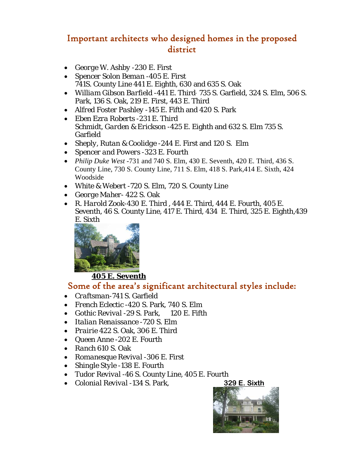### Important architects who designed homes in the proposed district

- *George W. Ashby* -230 E. First
- *Spencer Solon Beman* -405 E. First 741S. County Line 441 E. Eighth, 630 and 635 S. Oak
- *William Gibson Barfield* -441 E. Third, 735 S. Garfield, 324 S. Elm, 506 S. Park, 136 S. Oak, 219 E. First, 443 E. Third
- *Alfred Foster Pashley* -145 E. Fifth and 420 S. Park
- *Eben Ezra Roberts* -231 E. Third *Schmidt, Garden & Erickson* -425 E. Eighth and 632 S. Elm 735 S. Garfield
- *Sheply, Rutan & Coolidge* -244 E. First and 120 S. Elm
- *Spencer and Powers* -323 E. Fourth
- *Philip Duke West* -731 and 740 S. Elm, 430 E. Seventh, 420 E. Third, 436 S. County Line, 730 S. County Line, 711 S. Elm, 418 S. Park,414 E. Sixth, 424 Woodside
- *White & Webert* -720 S. Elm, 720 S. County Line
- *George Maher* 422 S. Oak
- *R. Harold Zook*-430 E. Third , 444 E. Third, 444 E. Fourth, 405 E. Seventh, 46 S. County Line, 417 E. Third, 434 E. Third, 325 E. Eighth,439 E. Sixth



#### **405 E. Seventh**

### Some of the area's significant architectural styles include:

- *Craftsman*-741 S. Garfield
- *French Eclectic* -420 S. Park, 740 S. Elm
- *Gothic Revival* -29 S. Park, 120 E. Fifth
- *Italian Renaissance* -720 S. Elm
- *Prairie* 422 S. Oak, 306 E. Third
- *Queen Anne* -202 E. Fourth
- *Ranch* 610 S. Oak
- *Romanesque Revival* -306 E. First
- *Shingle Style* -138 E. Fourth
- *Tudor Revival* -46 S. County Line, 405 E. Fourth
- *Colonial Revival -*134 S. Park, **329 E. Sixth**

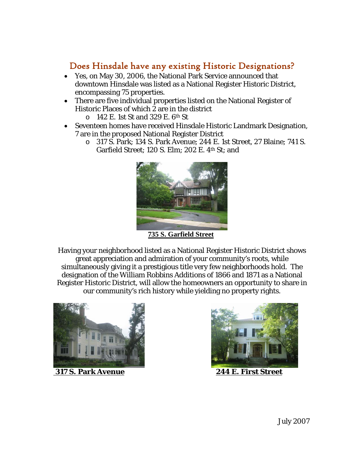### Does Hinsdale have any existing Historic Designations?

- Yes, on May 30, 2006, the National Park Service announced that downtown Hinsdale was listed as a National Register Historic District, encompassing 75 properties.
- There are five individual properties listed on the National Register of Historic Places of which 2 are in the district
	- $\circ$  142 E. 1st St and 329 E. 6<sup>th</sup> St
- Seventeen homes have received Hinsdale Historic Landmark Designation, 7 are in the proposed National Register District
	- o 317 S. Park; 134 S. Park Avenue; 244 E. 1st Street, 27 Blaine; 741 S. Garfield Street; 120 S. Elm; 202 E. 4th St; and



 **735 S. Garfield Street**

Having your neighborhood listed as a National Register Historic District shows great appreciation and admiration of your community's roots, while simultaneously giving it a prestigious title very few neighborhoods hold. The designation of the William Robbins Additions of 1866 and 1871 as a National Register Historic District, will allow the homeowners an opportunity to share in our community's rich history while yielding no property rights.



**317 S. Park Avenue 244 E. First Street** 



July 2007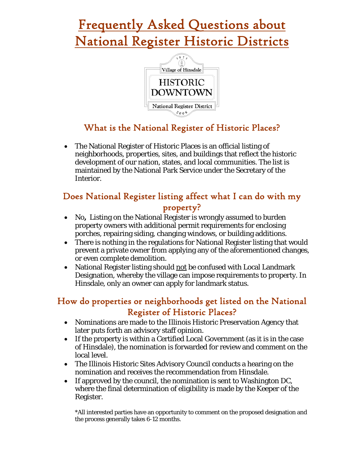## Frequently Asked Questions about National Register Historic Districts



# What is the National Register of Historic Places?

• The National Register of Historic Places is an official listing of neighborhoods, properties, sites, and buildings that reflect the historic development of our nation, states, and local communities. The list is maintained by the National Park Service under the Secretary of the Interior.

### Does National Register listing affect what I can do with my property?

- No**,** Listing on the National Register is wrongly assumed to burden property owners with additional permit requirements for enclosing porches, repairing siding, changing windows, or building additions.
- There is nothing in the regulations for National Register listing that would prevent a private owner from applying any of the aforementioned changes, or even complete demolition.
- National Register listing should not be confused with Local Landmark Designation, whereby the village can impose requirements to property. In Hinsdale, only an owner can apply for landmark status.

### How do properties or neighborhoods get listed on the National Register of Historic Places?

- Nominations are made to the Illinois Historic Preservation Agency that later puts forth an advisory staff opinion.
- If the property is within a Certified Local Government (as it is in the case of Hinsdale), the nomination is forwarded for review and comment on the local level.
- The Illinois Historic Sites Advisory Council conducts a hearing on the nomination and receives the recommendation from Hinsdale.
- If approved by the council, the nomination is sent to Washington DC, where the final determination of eligibility is made by the Keeper of the Register.

\*All interested parties have an opportunity to comment on the proposed designation and the process generally takes 6-12 months.